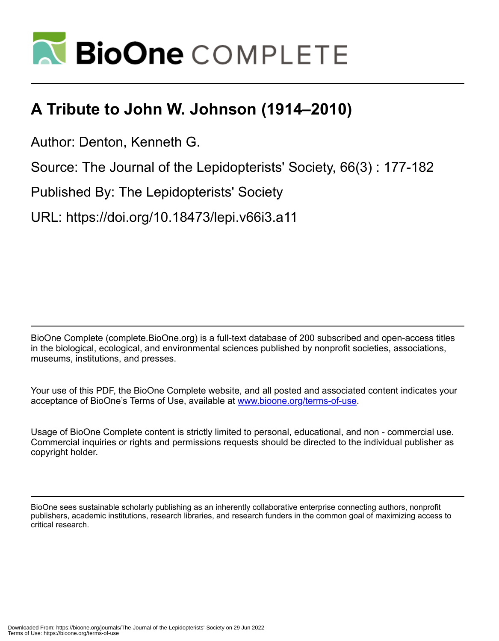

## **A Tribute to John W. Johnson (1914–2010)**

Author: Denton, Kenneth G.

Source: The Journal of the Lepidopterists' Society, 66(3) : 177-182

Published By: The Lepidopterists' Society

URL: https://doi.org/10.18473/lepi.v66i3.a11

BioOne Complete (complete.BioOne.org) is a full-text database of 200 subscribed and open-access titles in the biological, ecological, and environmental sciences published by nonprofit societies, associations, museums, institutions, and presses.

Your use of this PDF, the BioOne Complete website, and all posted and associated content indicates your acceptance of BioOne's Terms of Use, available at www.bioone.org/terms-of-use.

Usage of BioOne Complete content is strictly limited to personal, educational, and non - commercial use. Commercial inquiries or rights and permissions requests should be directed to the individual publisher as copyright holder.

BioOne sees sustainable scholarly publishing as an inherently collaborative enterprise connecting authors, nonprofit publishers, academic institutions, research libraries, and research funders in the common goal of maximizing access to critical research.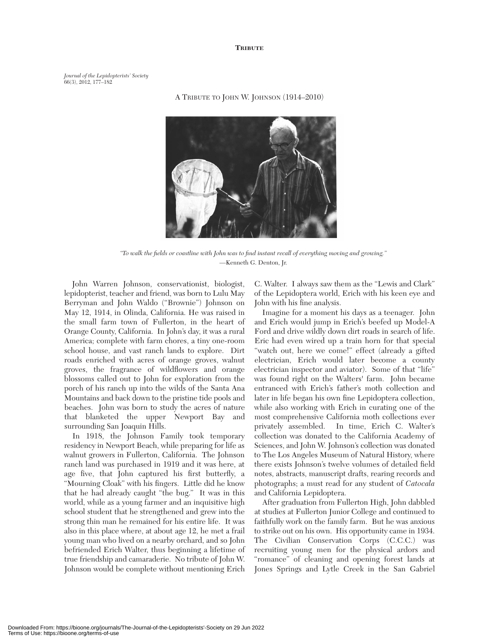## **TRIBUTE**

*Journal of the Lepidopterists' Society* 66(3), 2012, 177 –182

## A TRIBUTE TO JOHN W. JOHNSON (1914–2010)



*"To walk the fields or coastline with John was to find instant recall of everything moving and growing."* —Kenneth G. Denton, Jr.

John Warren Johnson, conservationist, biologist, lepidopterist, teacher and friend, was born to Lulu May Berryman and John Waldo ("Brownie") Johnson on May 12, 1914, in Olinda, California. He was raised in the small farm town of Fullerton, in the heart of Orange County, California. In John's day, it was a rural America; complete with farm chores, a tiny one-room school house, and vast ranch lands to explore. Dirt roads enriched with acres of orange groves, walnut groves, the fragrance of wildflowers and orange blossoms called out to John for exploration from the porch of his ranch up into the wilds of the Santa Ana Mountains and back down to the pristine tide pools and beaches. John was born to study the acres of nature that blanketed the upper Newport Bay and surrounding San Joaquin Hills.

In 1918, the Johnson Family took temporary residency in Newport Beach, while preparing for life as walnut growers in Fullerton, California. The Johnson ranch land was purchased in 1919 and it was here, at age five, that John captured his first butterfly, a "Mourning Cloak" with his fingers. Little did he know that he had already caught "the bug." It was in this world, while as a young farmer and an inquisitive high school student that he strengthened and grew into the strong thin man he remained for his entire life. It was also in this place where, at about age 12, he met a frail young man who lived on a nearby orchard, and so John befriended Erich Walter, thus beginning a lifetime of true friendship and camaraderie. No tribute of John W. Johnson would be complete without mentioning Erich

C. Walter. I always saw them as the "Lewis and Clark" of the Lepidoptera world, Erich with his keen eye and John with his fine analysis.

Imagine for a moment his days as a teenager. John and Erich would jump in Erich's beefed up Model-A Ford and drive wildly down dirt roads in search of life. Eric had even wired up a train horn for that special "watch out, here we come!" effect (already a gifted electrician, Erich would later become a county electrician inspector and aviator). Some of that "life" was found right on the Walters' farm. John became entranced with Erich's father's moth collection and later in life began his own fine Lepidoptera collection, while also working with Erich in curating one of the most comprehensive California moth collections ever privately assembled. In time, Erich C. Walter's collection was donated to the California Academy of Sciences, and John W. Johnson's collection was donated to The Los Angeles Museum of Natural History, where there exists Johnson's twelve volumes of detailed field notes, abstracts, manuscript drafts, rearing records and photographs; a must read for any student of *Catocala* and California Lepidoptera.

After graduation from Fullerton High, John dabbled at studies at Fullerton Junior College and continued to faithfully work on the family farm. But he was anxious to strike out on his own. His opportunity came in 1934. The Civilian Conservation Corps (C.C.C.) was recruiting young men for the physical ardors and "romance" of cleaning and opening forest lands at Jones Springs and Lytle Creek in the San Gabriel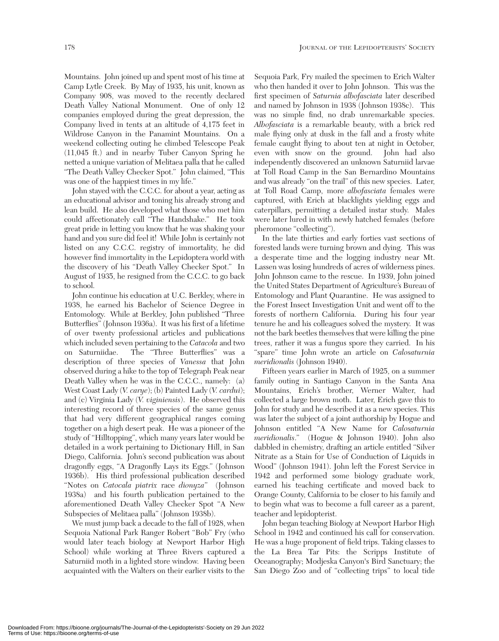Mountains. John joined up and spent most of his time at Camp Lytle Creek. By May of 1935, his unit, known as Company 908, was moved to the recently declared Death Valley National Monument. One of only 12 companies employed during the great depression, the Company lived in tents at an altitude of 4,175 feet in Wildrose Canyon in the Panamint Mountains. On a weekend collecting outing he climbed Telescope Peak (11,045 ft.) and in nearby Tuber Canyon Spring he netted a unique variation of Melitaea palla that he called "The Death Valley Checker Spot." John claimed, "This was one of the happiest times in my life."

John stayed with the C.C.C. for about a year, acting as an educational advisor and toning his already strong and lean build. He also developed what those who met him could affectionately call "The Handshake." He took great pride in letting you know that he was shaking your hand and you sure did feel it! While John is certainly not listed on any C.C.C. registry of immortality, he did however find immortality in the Lepidoptera world with the discovery of his "Death Valley Checker Spot." In August of 1935, he resigned from the C.C.C. to go back to school.

John continue his education at U.C. Berkley, where in 1938, he earned his Bachelor of Science Degree in Entomology. While at Berkley, John published "Three Butterflies" (Johnson 1936a). It was his first of a lifetime of over twenty professional articles and publications which included seven pertaining to the *Catacola* and two on Saturniidae. The "Three Butterflies" was a description of three species of *Vanessa* that John observed during a hike to the top of Telegraph Peak near Death Valley when he was in the C.C.C., namely: (a) West Coast Lady (*V. carye*); (b) Painted Lady (*V. cardui*); and (c) Virginia Lady (*V. viginiensis*). He observed this interesting record of three species of the same genus that had very different geographical ranges coming together on a high desert peak. He was a pioneer of the study of "Hilltopping", which many years later would be detailed in a work pertaining to Dictionary Hill, in San Diego, California. John's second publication was about dragonfly eggs, "A Dragonfly Lays its Eggs." (Johnson 1936b). His third professional publication described "Notes on *Catocala piatrix* race *dionyza*" (Johnson 1938a) and his fourth publication pertained to the aforementioned Death Valley Checker Spot "A New Subspecies of Melitaea palla" (Johnson 1938b).

We must jump back a decade to the fall of 1928, when Sequoia National Park Ranger Robert "Bob" Fry (who would later teach biology at Newport Harbor High School) while working at Three Rivers captured a Saturniid moth in a lighted store window. Having been acquainted with the Walters on their earlier visits to the

Sequoia Park, Fry mailed the specimen to Erich Walter who then handed it over to John Johnson. This was the first specimen of *Saturnia albofasciata* later described and named by Johnson in 1938 (Johnson 1938c). This was no simple find, no drab unremarkable species. *Albofasciata* is a remarkable beauty, with a brick red male flying only at dusk in the fall and a frosty white female caught flying to about ten at night in October, even with snow on the ground. John had also independently discovered an unknown Saturniid larvae at Toll Road Camp in the San Bernardino Mountains and was already "on the trail" of this new species. Later, at Toll Road Camp, more *albofasciata* females were captured, with Erich at blacklights yielding eggs and caterpillars, permitting a detailed instar study. Males were later lured in with newly hatched females (before pheromone "collecting").

In the late thirties and early forties vast sections of forested lands were turning brown and dying. This was a desperate time and the logging industry near Mt. Lassen was losing hundreds of acres of wilderness pines. John Johnson came to the rescue. In 1939, John joined the United States Department of Agriculture's Bureau of Entomology and Plant Quarantine. He was assigned to the Forest Insect Investigation Unit and went off to the forests of northern California. During his four year tenure he and his colleagues solved the mystery. It was not the bark beetles themselves that were killing the pine trees, rather it was a fungus spore they carried. In his "spare" time John wrote an article on *Calosaturnia meridionalis* (Johnson 1940).

Fifteen years earlier in March of 1925, on a summer family outing in Santiago Canyon in the Santa Ana Mountains, Erich's brother, Werner Walter, had collected a large brown moth. Later, Erich gave this to John for study and he described it as a new species. This was later the subject of a joint authorship by Hogue and Johnson entitled "A New Name for *Calosaturnia meridionalis*." (Hogue & Johnson 1940). John also dabbled in chemistry, drafting an article entitled "Silver Nitrate as a Stain for Use of Conduction of Liquids in Wood" (Johnson 1941). John left the Forest Service in 1942 and performed some biology graduate work, earned his teaching certificate and moved back to Orange County, California to be closer to his family and to begin what was to become a full career as a parent, teacher and lepidopterist.

John began teaching Biology at Newport Harbor High School in 1942 and continued his call for conservation. He was a huge proponent of field trips. Taking classes to the La Brea Tar Pits: the Scripps Institute of Oceanography; Modjeska Canyon's Bird Sanctuary; the San Diego Zoo and of "collecting trips" to local tide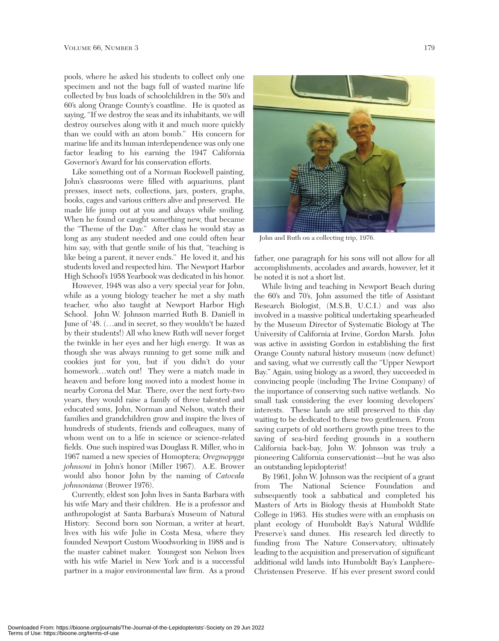pools, where he asked his students to collect only one specimen and not the bags full of wasted marine life collected by bus loads of schoolchildren in the 50's and 60's along Orange County's coastline. He is quoted as saying, "If we destroy the seas and its inhabitants, we will destroy ourselves along with it and much more quickly than we could with an atom bomb." His concern for marine life and its human interdependence was only one factor leading to his earning the 1947 California Governor's Award for his conservation efforts.

Like something out of a Norman Rockwell painting, John's classrooms were filled with aquariums, plant presses, insect nets, collections, jars, posters, graphs, books, cages and various critters alive and preserved. He made life jump out at you and always while smiling. When he found or caught something new, that became the "Theme of the Day." After class he would stay as long as any student needed and one could often hear him say, with that gentle smile of his that, "teaching is like being a parent, it never ends." He loved it, and his students loved and respected him. The Newport Harbor High School's 1958 Yearbook was dedicated in his honor.

However, 1948 was also a very special year for John, while as a young biology teacher he met a shy math teacher, who also taught at Newport Harbor High School. John W. Johnson married Ruth B. Daniell in June of '48. (…and in secret, so they wouldn't be hazed by their students!) All who knew Ruth will never forget the twinkle in her eyes and her high energy. It was as though she was always running to get some milk and cookies just for you, but if you didn't do your homework...watch out! They were a match made in heaven and before long moved into a modest home in nearby Corona del Mar. There, over the next forty-two years, they would raise a family of three talented and educated sons, John, Norman and Nelson, watch their families and grandchildren grow and inspire the lives of hundreds of students, friends and colleagues, many of whom went on to a life in science or science-related fields. One such inspired was Douglass R. Miller, who in 1967 named a new species of Homoptera; *Oregmopyga johnsoni* in John's honor (Miller 1967). A.E. Brower would also honor John by the naming of *Catocala johnsoniana* (Brower 1976).

Currently, eldest son John lives in Santa Barbara with his wife Mary and their children. He is a professor and anthropologist at Santa Barbara's Museum of Natural History. Second born son Norman, a writer at heart, lives with his wife Julie in Costa Mesa, where they founded Newport Custom Woodworking in 1988 and is the master cabinet maker. Youngest son Nelson lives with his wife Mariel in New York and is a successful partner in a major environmental law firm. As a proud



John and Ruth on a collecting trip, 1976.

father, one paragraph for his sons will not allow for all accomplishments, accolades and awards, however, let it be noted it is not a short list.

While living and teaching in Newport Beach during the 60's and 70's, John assumed the title of Assistant Research Biologist, (M.S.B, U.C.I.) and was also involved in a massive political undertaking spearheaded by the Museum Director of Systematic Biology at The University of California at Irvine, Gordon Marsh. John was active in assisting Gordon in establishing the first Orange County natural history museum (now defunct) and saving, what we currently call the "Upper Newport Bay." Again, using biology as a sword, they succeeded in convincing people (including The Irvine Company) of the importance of conserving such native wetlands. No small task considering the ever looming developers' interests. These lands are still preserved to this day waiting to be dedicated to these two gentlemen. From saving carpets of old northern growth pine trees to the saving of sea-bird feeding grounds in a southern California back-bay, John W. Johnson was truly a pioneering California conservationist—but he was also an outstanding lepidopterist!

By 1961, John W. Johnson was the recipient of a grant from The National Science Foundation and subsequently took a sabbatical and completed his Masters of Arts in Biology thesis at Humboldt State College in 1963. His studies were with an emphasis on plant ecology of Humboldt Bay's Natural Wildlife Preserve's sand dunes. His research led directly to funding from The Nature Conservatory, ultimately leading to the acquisition and preservation of significant additional wild lands into Humboldt Bay's Lanphere-Christensen Preserve. If his ever present sword could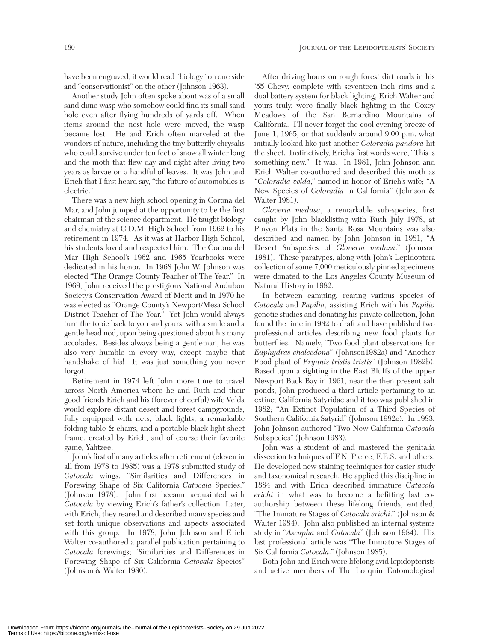have been engraved, it would read "biology" on one side and "conservationist" on the other (Johnson 1963).

Another study John often spoke about was of a small sand dune wasp who somehow could find its small sand hole even after flying hundreds of yards off. When items around the nest hole were moved, the wasp became lost. He and Erich often marveled at the wonders of nature, including the tiny butterfly chrysalis who could survive under ten feet of snow all winter long and the moth that flew day and night after living two years as larvae on a handful of leaves. It was John and Erich that I first heard say, "the future of automobiles is electric."

There was a new high school opening in Corona del Mar, and John jumped at the opportunity to be the first chairman of the science department. He taught biology and chemistry at C.D.M. High School from 1962 to his retirement in 1974. As it was at Harbor High School, his students loved and respected him. The Corona del Mar High School's 1962 and 1965 Yearbooks were dedicated in his honor. In 1968 John W. Johnson was elected "The Orange County Teacher of The Year." In 1969, John received the prestigious National Audubon Society's Conservation Award of Merit and in 1970 he was elected as "Orange County's Newport/Mesa School District Teacher of The Year." Yet John would always turn the topic back to you and yours, with a smile and a gentle head nod, upon being questioned about his many accolades. Besides always being a gentleman, he was also very humble in every way, except maybe that handshake of his! It was just something you never forgot.

Retirement in 1974 left John more time to travel across North America where he and Ruth and their good friends Erich and his (forever cheerful) wife Velda would explore distant desert and forest campgrounds, fully equipped with nets, black lights, a remarkable folding table & chairs, and a portable black light sheet frame, created by Erich, and of course their favorite game, Yahtzee.

John's first of many articles after retirement (eleven in all from 1978 to 1985) was a 1978 submitted study of *Catocala* wings. "Similarities and Differences in Forewing Shape of Six California *Catocala* Species." (Johnson 1978). John first became acquainted with *Catocala* by viewing Erich's father's collection. Later, with Erich, they reared and described many species and set forth unique observations and aspects associated with this group. In 1978, John Johnson and Erich Walter co-authored a parallel publication pertaining to *Catocala* forewings; "Similarities and Differences in Forewing Shape of Six California *Catocala* Species" (Johnson & Walter 1980).

After driving hours on rough forest dirt roads in his '55 Chevy, complete with seventeen inch rims and a dual battery system for black lighting, Erich Walter and yours truly, were finally black lighting in the Coxey Meadows of the San Bernardino Mountains of California. I'll never forget the cool evening breeze of June 1, 1965, or that suddenly around 9:00 p.m. what initially looked like just another *Coloradia pandora* hit the sheet. Instinctively, Erich's first words were, "This is something new." It was. In 1981, John Johnson and Erich Walter co-authored and described this moth as "*Coloradia velda*," named in honor of Erich's wife; "A New Species of *Coloradia* in California" (Johnson & Walter 1981).

*Gloveria medusa*, a remarkable sub-species, first caught by John blacklisting with Ruth July 1978, at Pinyon Flats in the Santa Rosa Mountains was also described and named by John Johnson in 1981; "A Desert Subspecies of *Gloveria medusa*." (Johnson 1981). These paratypes, along with John's Lepidoptera collection of some 7,000 meticulously pinned specimens were donated to the Los Angeles County Museum of Natural History in 1982.

In between camping, rearing various species of *Catocala* and *Papilio*, assisting Erich with his *Papilio* genetic studies and donating his private collection, John found the time in 1982 to draft and have published two professional articles describing new food plants for butterflies. Namely, "Two food plant observations for *Euphydras chalcedona*" (Johnson1982a) and "Another Food plant of *Erynnis tristis tristis*" (Johnson 1982b). Based upon a sighting in the East Bluffs of the upper Newport Back Bay in 1961, near the then present salt ponds, John produced a third article pertaining to an extinct California Satyridae and it too was published in 1982; "An Extinct Population of a Third Species of Southern California Satyrid" (Johnson 1982c). In 1983, John Johnson authored "Two New California *Catocala* Subspecies" (Johnson 1983).

John was a student of and mastered the genitalia dissection techniques of F.N. Pierce, F.E.S. and others. He developed new staining techniques for easier study and taxonomical research. He applied this discipline in 1884 and with Erich described immature *Catacola erichi* in what was to become a befitting last coauthorship between these lifelong friends, entitled, "The Immature Stages of *Catocala erichi*." (Johnson & Walter 1984). John also published an internal systems study in "*Ascapha* and *Catocala*" (Johnson 1984). His last professional article was "The Immature Stages of Six California *Catocala*." (Johnson 1985).

Both John and Erich were lifelong avid lepidopterists and active members of The Lorquin Entomological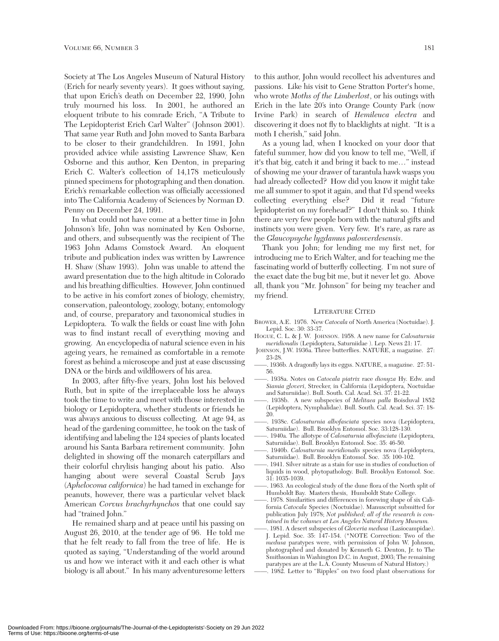Society at The Los Angeles Museum of Natural History (Erich for nearly seventy years). It goes without saying, that upon Erich's death on December 22, 1990, John truly mourned his loss. In 2001, he authored an eloquent tribute to his comrade Erich, "A Tribute to The Lepidopterist Erich Carl Walter" (Johnson 2001). That same year Ruth and John moved to Santa Barbara to be closer to their grandchildren. In 1991, John provided advice while assisting Lawrence Shaw, Ken Osborne and this author, Ken Denton, in preparing Erich C. Walter's collection of 14,178 meticulously pinned specimens for photographing and then donation. Erich's remarkable collection was officially accessioned into The California Academy of Sciences by Norman D. Penny on December 24, 1991.

In what could not have come at a better time in John Johnson's life, John was nominated by Ken Osborne, and others, and subsequently was the recipient of The 1963 John Adams Comstock Award. An eloquent tribute and publication index was written by Lawrence H. Shaw (Shaw 1993). John was unable to attend the award presentation due to the high altitude in Colorado and his breathing difficulties. However, John continued to be active in his comfort zones of biology, chemistry, conservation, paleontology, zoology, botany, entomology and, of course, preparatory and taxonomical studies in Lepidoptera. To walk the fields or coast line with John was to find instant recall of everything moving and growing. An encyclopedia of natural science even in his ageing years, he remained as comfortable in a remote forest as behind a microscope and just at ease discussing DNA or the birds and wildflowers of his area.

In 2003, after fifty-five years, John lost his beloved Ruth, but in spite of the irreplaceable loss he always took the time to write and meet with those interested in biology or Lepidoptera, whether students or friends he was always anxious to discuss collecting. At age 94, as head of the gardening committee, he took on the task of identifying and labeling the 124 species of plants located around his Santa Barbara retirement community. John delighted in showing off the monarch caterpillars and their colorful chrylisis hanging about his patio. Also hanging about were several Coastal Scrub Jays (*Aphelocoma californica*) he had tamed in exchange for peanuts, however, there was a particular velvet black American *Corvus brachyrhynchos* that one could say had "trained John."

He remained sharp and at peace until his passing on August 26, 2010, at the tender age of 96. He told me that he felt ready to fall from the tree of life. He is quoted as saying, "Understanding of the world around us and how we interact with it and each other is what biology is all about." In his many adventuresome letters

to this author, John would recollect his adventures and passions. Like his visit to Gene Stratton Porter's home, who wrote *Moths of the Limberlost*, or his outings with Erich in the late 20's into Orange County Park (now Irvine Park) in search of *Hemileuca electra* and discovering it does not fly to blacklights at night. "It is a moth I cherish," said John.

As a young lad, when I knocked on your door that fateful summer, how did you know to tell me, "Well, if it's that big, catch it and bring it back to me…" instead of showing me your drawer of tarantula hawk wasps you had already collected? How did you know it might take me all summer to spot it again, and that I'd spend weeks collecting everything else? Did it read "future lepidopterist on my forehead?" I don't think so. I think there are very few people born with the natural gifts and instincts you were given. Very few. It's rare, as rare as the *Glaucopsyche lygdamus palosverdesensis*.

Thank you John; for lending me my first net, for introducing me to Erich Walter, and for teaching me the fascinating world of butterfly collecting. I'm not sure of the exact date the bug bit me, but it never let go. Above all, thank you "Mr. Johnson" for being my teacher and my friend.

## LITERATURE CITED

- BROWER, A.E. 1976. New *Catocala* of North America (Noctuidae). J. Lepid. Soc. 30: 33-37.
- HOGUE, C. L. & J. W. JOHNSON. 1958. A new name for *Calosaturnia meridionalis* (Lepidoptera, Saturniidae ). Lep. News 21: 17.
- JOHNSON, J.W. 1936a. Three butterflies. NATURE, a magazine. 27: 23-28.
- ——. 1936b. A dragonfly lays its eggss. NATURE, a magazine. 27: 51- 56.
- ——. 1938a. Notes on *Catocala piatrix* race *dionyza* Hy. Edw. and *Siamia gloveri*, Strecker, in California (Lepidoptera, Noctuidae and Saturniidae). Bull. South. Cal. Acad. Sci. 37: 21-22.
- ——. 1938b. A new subspecies of *Melitaea palla* Boisduval 1852 (Lepidoptera, Nymphalidae). Bull. South. Cal. Acad. Sci. 37: 18- 20.
- ——. 1938c. *Calosaturnia albofasciata* species nova (Lepidoptera, Saturniidae). Bull. Brooklyn Entomol. Soc. 33:128-130.
- ——. 1940a. The allotype of *Calosaturnia albofasciata* (Lepidoptera, Saturniidae). Bull. Brooklyn Entomol. Soc. 35: 46-50.
- ——. 1940b. *Calosaturnia meridionalis* species nova (Lepidoptera, Saturniidae). Bull. Brooklyn Entomol. Soc. 35: 100-102.
- ——. 1941. Silver nitrate as a stain for use in studies of conduction of liquids in wood, phytopathology. Bull. Brooklyn Entomol. Soc. 31: 1035-1039.
- ——. 1963. An ecological study of the dune flora of the North split of Humboldt Bay. Masters thesis, Humboldt State College.
- ——. 1978. Similarities and differences in forewing shape of six California *Catocala* Species (Noctuidae). Manuscript submitted for publication July 1978; *Not published; all of the research is contained in the volumes at Los Angeles Natural History Museum.*
- ——. 1981. A desert subspecies of *Gloveria medusa* (Lasiocampidae). J. Lepid. Soc. 35: 147-154. (\*NOTE Correction: Two of the *medusa* paratypes were, with permission of John W. Johnson, photographed and donated by Kenneth G. Denton, Jr. to The Smithsonian in Washington D.C. in August, 2003; The remaining paratypes are at the L.A. County Museum of Natural History.)
- ——. 1982. Letter to "Ripples" on two food plant observations for